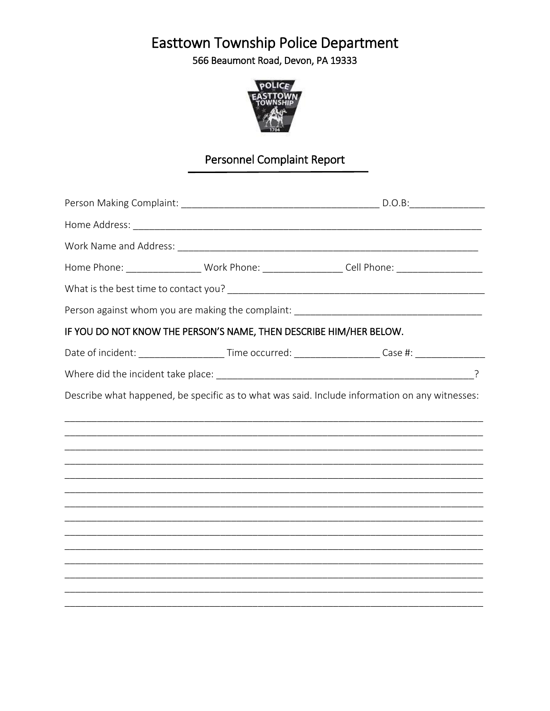## Easttown Township Police Department

566 Beaumont Road, Devon, PA 19333



## Personnel Complaint Report

|                                                                    |  | Home Phone: ______________________Work Phone: _____________________Cell Phone: _____________________      |
|--------------------------------------------------------------------|--|-----------------------------------------------------------------------------------------------------------|
|                                                                    |  |                                                                                                           |
|                                                                    |  | Person against whom you are making the complaint: _______________________________                         |
| IF YOU DO NOT KNOW THE PERSON'S NAME, THEN DESCRIBE HIM/HER BELOW. |  |                                                                                                           |
|                                                                    |  | Date of incident: _________________________Time occurred: ______________________Case #: _________________ |
|                                                                    |  |                                                                                                           |
|                                                                    |  | Describe what happened, be specific as to what was said. Include information on any witnesses:            |
|                                                                    |  |                                                                                                           |
|                                                                    |  |                                                                                                           |
|                                                                    |  |                                                                                                           |
|                                                                    |  |                                                                                                           |
|                                                                    |  |                                                                                                           |
|                                                                    |  |                                                                                                           |
|                                                                    |  |                                                                                                           |
|                                                                    |  |                                                                                                           |
|                                                                    |  |                                                                                                           |
|                                                                    |  |                                                                                                           |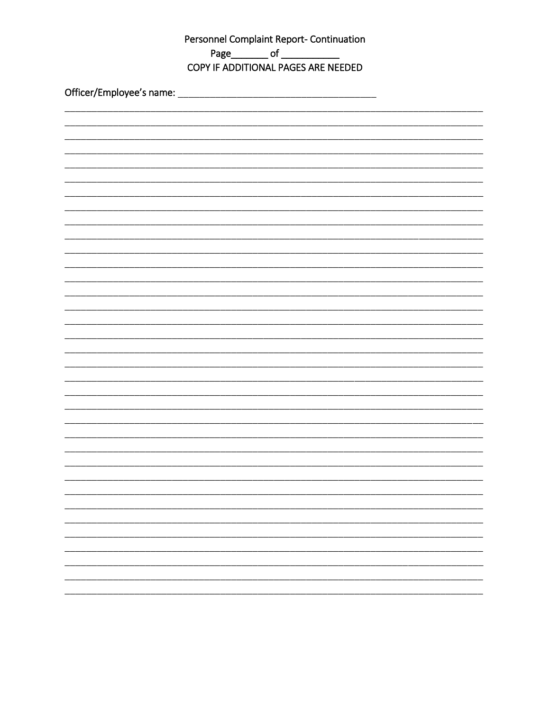| Personnel Complaint Report- Continuation |                                                                           |  |  |  |  |  |
|------------------------------------------|---------------------------------------------------------------------------|--|--|--|--|--|
|                                          | Page___________ of _______________<br>COPY IF ADDITIONAL PAGES ARE NEEDED |  |  |  |  |  |
|                                          |                                                                           |  |  |  |  |  |
|                                          |                                                                           |  |  |  |  |  |
|                                          |                                                                           |  |  |  |  |  |
|                                          |                                                                           |  |  |  |  |  |
|                                          |                                                                           |  |  |  |  |  |
|                                          |                                                                           |  |  |  |  |  |
|                                          |                                                                           |  |  |  |  |  |
|                                          |                                                                           |  |  |  |  |  |
|                                          |                                                                           |  |  |  |  |  |
|                                          |                                                                           |  |  |  |  |  |
|                                          |                                                                           |  |  |  |  |  |
|                                          |                                                                           |  |  |  |  |  |
|                                          |                                                                           |  |  |  |  |  |
|                                          |                                                                           |  |  |  |  |  |
|                                          |                                                                           |  |  |  |  |  |
|                                          |                                                                           |  |  |  |  |  |
|                                          |                                                                           |  |  |  |  |  |
|                                          |                                                                           |  |  |  |  |  |
|                                          |                                                                           |  |  |  |  |  |
|                                          |                                                                           |  |  |  |  |  |
|                                          |                                                                           |  |  |  |  |  |
|                                          |                                                                           |  |  |  |  |  |
|                                          |                                                                           |  |  |  |  |  |
|                                          |                                                                           |  |  |  |  |  |
|                                          |                                                                           |  |  |  |  |  |
|                                          |                                                                           |  |  |  |  |  |
|                                          |                                                                           |  |  |  |  |  |
|                                          |                                                                           |  |  |  |  |  |
|                                          |                                                                           |  |  |  |  |  |
|                                          |                                                                           |  |  |  |  |  |
|                                          |                                                                           |  |  |  |  |  |
|                                          |                                                                           |  |  |  |  |  |
|                                          |                                                                           |  |  |  |  |  |
|                                          |                                                                           |  |  |  |  |  |
|                                          |                                                                           |  |  |  |  |  |
|                                          |                                                                           |  |  |  |  |  |
|                                          |                                                                           |  |  |  |  |  |
|                                          |                                                                           |  |  |  |  |  |
|                                          |                                                                           |  |  |  |  |  |
|                                          |                                                                           |  |  |  |  |  |
|                                          |                                                                           |  |  |  |  |  |
|                                          |                                                                           |  |  |  |  |  |
|                                          |                                                                           |  |  |  |  |  |